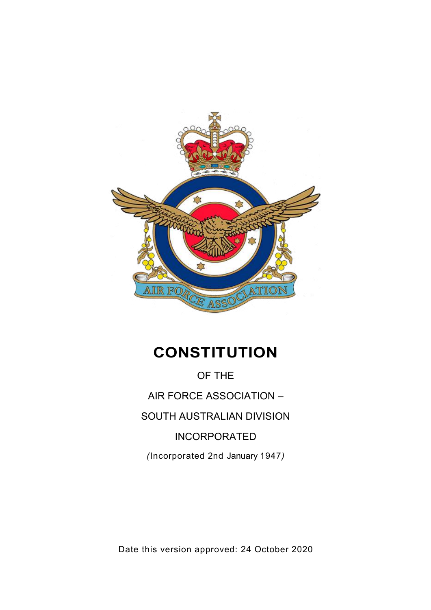

# **CONSTITUTION**

OF THE AIR FORCE ASSOCIATION – SOUTH AUSTRALIAN DIVISION INCORPORATED *(*Incorporated 2nd January 1947*)*

Date this version approved: 24 October 2020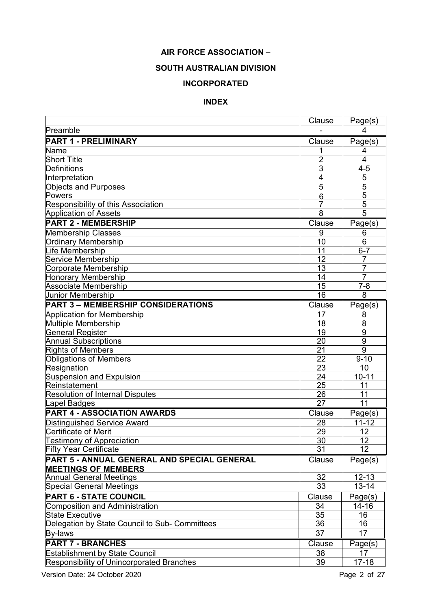## **AIR FORCE ASSOCIATION –**

## **SOUTH AUSTRALIAN DIVISION**

## **INCORPORATED**

## **INDEX**

|                                                  | Clause         | Page(s)         |
|--------------------------------------------------|----------------|-----------------|
| Preamble                                         |                | 4               |
| <b>PART 1 - PRELIMINARY</b>                      | Clause         | Page(s)         |
| Name                                             |                | 4               |
| <b>Short Title</b>                               | $\overline{2}$ | $\overline{4}$  |
| <b>Definitions</b>                               | $\overline{3}$ | $4 - 5$         |
| Interpretation                                   | 4              | 5               |
| <b>Objects and Purposes</b>                      | 5              | 5               |
| Powers                                           | 6              | 5               |
| Responsibility of this Association               | 7              | $\overline{5}$  |
| <b>Application of Assets</b>                     | 8              | $\overline{5}$  |
| <b>PART 2 - MEMBERSHIP</b>                       | Clause         | Page(s)         |
| <b>Membership Classes</b>                        | 9              | 6               |
| <b>Ordinary Membership</b>                       | 10             | 6               |
| ife Membership                                   | 11             | $6 - 7$         |
| Service Membership                               | 12             |                 |
| Corporate Membership                             | 13             | 7               |
| <b>Honorary Membership</b>                       | 14             | $\overline{7}$  |
| <b>Associate Membership</b>                      | 15             | $7 - 8$         |
| Junior Membership                                | 16             | 8               |
| <b>PART 3 - MEMBERSHIP CONSIDERATIONS</b>        | Clause         | Page(s)         |
| <b>Application for Membership</b>                | 17             | 8               |
| Multiple Membership                              | 18             | 8               |
| <b>General Register</b>                          | 19             | 9               |
| <b>Annual Subscriptions</b>                      | 20             | $\overline{9}$  |
| <b>Rights of Members</b>                         | 21             | $\overline{9}$  |
| <b>Obligations of Members</b>                    | 22             | $9 - 10$        |
| Resignation                                      | 23<br>24       | 10              |
| <b>Suspension and Expulsion</b><br>Reinstatement | 25             | $10 - 11$<br>11 |
| <b>Resolution of Internal Disputes</b>           | 26             | 11              |
| apel Badges                                      | 27             | 11              |
| PART 4 - ASSOCIATION AWARDS                      | Clause         | Page(s)         |
| <b>Distinguished Service Award</b>               | 28             | $11 - 12$       |
| <b>Certificate of Merit</b>                      | 29             | 12              |
| <b>Testimony of Appreciation</b>                 | 30             | 12              |
| <b>Fifty Year Certificate</b>                    | 31             | 12              |
| PART 5 - ANNUAL GENERAL AND SPECIAL GENERAL      | Clause         | Page(s)         |
| <b>MEETINGS OF MEMBERS</b>                       |                |                 |
| <b>Annual General Meetings</b>                   | 32             | $12 - 13$       |
| <b>Special General Meetings</b>                  | 33             | $13 - 14$       |
| <b>PART 6 - STATE COUNCIL</b>                    | Clause         | Page(s)         |
| <b>Composition and Administration</b>            | 34             | $14 - 16$       |
| <b>State Executive</b>                           | 35             | 16              |
| Delegation by State Council to Sub- Committees   | 36             | 16              |
| By-laws                                          | 37             | 17              |
| <b>PART 7 - BRANCHES</b>                         | Clause         | Page(s)         |
| <b>Establishment by State Council</b>            | 38             | 17              |
| Responsibility of Unincorporated Branches        | 39             | $17 - 18$       |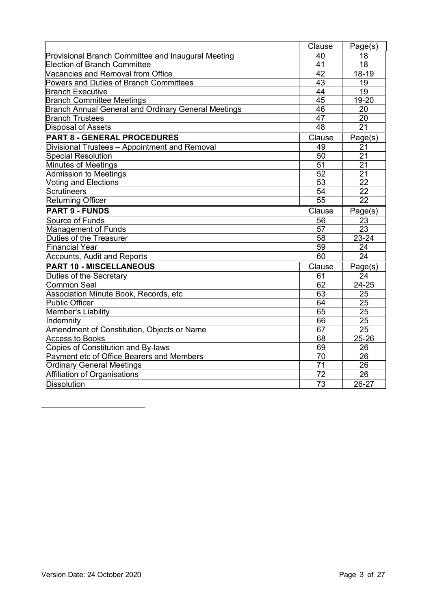|                                                            | Clause          | Page(s)         |
|------------------------------------------------------------|-----------------|-----------------|
| Provisional Branch Committee and Inaugural Meeting         | 40              | 18              |
| <b>Election of Branch Committee</b>                        | 41              | 18              |
| Vacancies and Removal from Office                          | 42              | 18-19           |
| Powers and Duties of Branch Committees                     | 43              | 19              |
| <b>Branch Executive</b>                                    | 44              | 19              |
| <b>Branch Committee Meetings</b>                           | 45              | 19-20           |
| <b>Branch Annual General and Ordinary General Meetings</b> | 46              | 20              |
| <b>Branch Trustees</b>                                     | 47              | 20              |
| <b>Disposal of Assets</b>                                  | 48              | 21              |
| <b>PART 8 - GENERAL PROCEDURES</b>                         | Clause          | Page(s)         |
| Divisional Trustees - Appointment and Removal              | 49              | 21              |
| <b>Special Resolution</b>                                  | 50              | 21              |
| <b>Minutes of Meetings</b>                                 | 51              | 21              |
| <b>Admission to Meetings</b>                               | 52              | 21              |
| <b>Voting and Elections</b>                                | 53              | 22              |
| Scrutineers                                                | 54              | 22              |
| <b>Returning Officer</b>                                   | $\overline{55}$ | $\overline{22}$ |
| <b>PART 9 - FUNDS</b>                                      | Clause          | Page(s)         |
| Source of Funds                                            | 56              | 23              |
| Management of Funds                                        | 57              | 23              |
| Duties of the Treasurer                                    | 58              | $23 - 24$       |
| <b>Financial Year</b>                                      | 59              | 24              |
| <b>Accounts, Audit and Reports</b>                         | 60              | 24              |
| <b>PART 10 - MISCELLANEOUS</b>                             | Clause          | Page(s)         |
| Duties of the Secretary                                    | 61              | 24              |
| Common Seal                                                | 62              | 24-25           |
| Association Minute Book, Records, etc                      | 63              | 25              |
| Public Officer                                             | 64              | 25              |
| Member's Liability                                         | 65              | 25              |
| Indemnity                                                  | 66              | 25              |
| Amendment of Constitution, Objects or Name                 | 67              | 25              |
| <b>Access to Books</b>                                     | 68              | 25-26           |
| Copies of Constitution and By-laws                         | 69              | 26              |
| Payment etc of Office Bearers and Members                  | 70              | 26              |
| <b>Ordinary General Meetings</b>                           | 71              | 26              |
| Affiliation of Organisations                               | 72              | 26              |
| Dissolution                                                | 73              | 26-27           |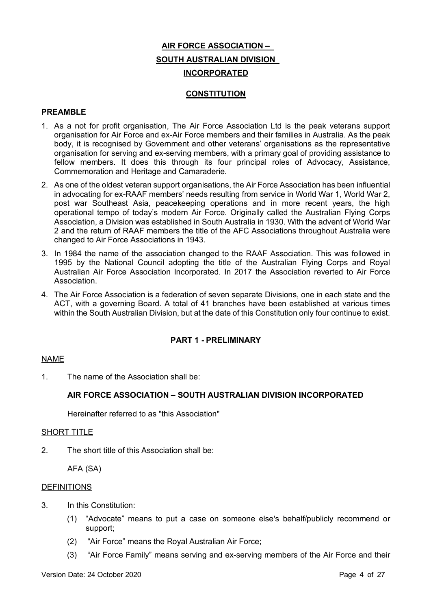# **AIR FORCE ASSOCIATION – SOUTH AUSTRALIAN DIVISION INCORPORATED**

## **CONSTITUTION**

## **PREAMBLE**

- 1. As a not for profit organisation, The Air Force Association Ltd is the peak veterans support organisation for Air Force and ex-Air Force members and their families in Australia. As the peak body, it is recognised by Government and other veterans' organisations as the representative organisation for serving and ex-serving members, with a primary goal of providing assistance to fellow members. It does this through its four principal roles of Advocacy, Assistance, Commemoration and Heritage and Camaraderie.
- 2. As one of the oldest veteran support organisations, the Air Force Association has been influential in advocating for ex-RAAF members' needs resulting from service in World War 1, World War 2, post war Southeast Asia, peacekeeping operations and in more recent years, the high operational tempo of today's modern Air Force. Originally called the Australian Flying Corps Association, a Division was established in South Australia in 1930. With the advent of World War 2 and the return of RAAF members the title of the AFC Associations throughout Australia were changed to Air Force Associations in 1943.
- 3. In 1984 the name of the association changed to the RAAF Association. This was followed in 1995 by the National Council adopting the title of the Australian Flying Corps and Royal Australian Air Force Association Incorporated. In 2017 the Association reverted to Air Force Association.
- 4. The Air Force Association is a federation of seven separate Divisions, one in each state and the ACT, with a governing Board. A total of 41 branches have been established at various times within the South Australian Division, but at the date of this Constitution only four continue to exist.

## **PART 1 - PRELIMINARY**

## NAME

1. The name of the Association shall be:

## **AIR FORCE ASSOCIATION – SOUTH AUSTRALIAN DIVISION INCORPORATED**

Hereinafter referred to as "this Association"

## SHORT TITLE

2. The short title of this Association shall be:

AFA (SA)

## **DEFINITIONS**

- 3. In this Constitution:
	- (1) "Advocate" means to put a case on someone else's behalf/publicly recommend or support;
	- (2) "Air Force" means the Royal Australian Air Force;
	- (3) "Air Force Family" means serving and ex-serving members of the Air Force and their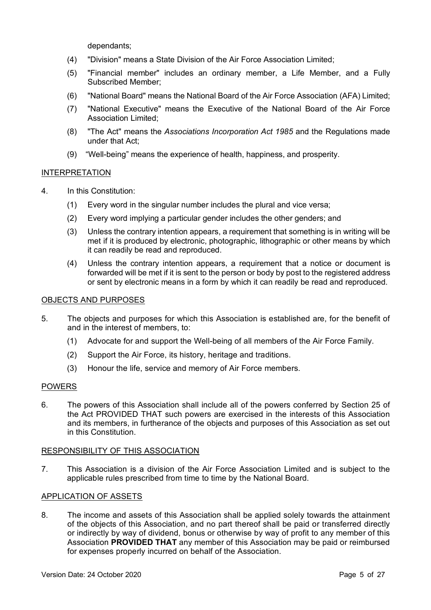dependants;

- (4) "Division" means a State Division of the Air Force Association Limited;
- (5) "Financial member" includes an ordinary member, a Life Member, and a Fully Subscribed Member;
- (6) "National Board" means the National Board of the Air Force Association (AFA) Limited;
- (7) "National Executive" means the Executive of the National Board of the Air Force Association Limited;
- (8) "The Act" means the *Associations Incorporation Act 1985* and the Regulations made under that Act;
- (9) "Well-being" means the experience of health, happiness, and prosperity.

## INTERPRETATION

- 4. In this Constitution:
	- (1) Every word in the singular number includes the plural and vice versa;
	- (2) Every word implying a particular gender includes the other genders; and
	- (3) Unless the contrary intention appears, a requirement that something is in writing will be met if it is produced by electronic, photographic, lithographic or other means by which it can readily be read and reproduced.
	- (4) Unless the contrary intention appears, a requirement that a notice or document is forwarded will be met if it is sent to the person or body by post to the registered address or sent by electronic means in a form by which it can readily be read and reproduced.

## OBJECTS AND PURPOSES

- 5. The objects and purposes for which this Association is established are, for the benefit of and in the interest of members, to:
	- (1) Advocate for and support the Well-being of all members of the Air Force Family.
	- (2) Support the Air Force, its history, heritage and traditions.
	- (3) Honour the life, service and memory of Air Force members.

## **POWERS**

6. The powers of this Association shall include all of the powers conferred by Section 25 of the Act PROVIDED THAT such powers are exercised in the interests of this Association and its members, in furtherance of the objects and purposes of this Association as set out in this Constitution.

## RESPONSIBILITY OF THIS ASSOCIATION

7. This Association is a division of the Air Force Association Limited and is subject to the applicable rules prescribed from time to time by the National Board.

## APPLICATION OF ASSETS

8. The income and assets of this Association shall be applied solely towards the attainment of the objects of this Association, and no part thereof shall be paid or transferred directly or indirectly by way of dividend, bonus or otherwise by way of profit to any member of this Association **PROVIDED THAT** any member of this Association may be paid or reimbursed for expenses properly incurred on behalf of the Association.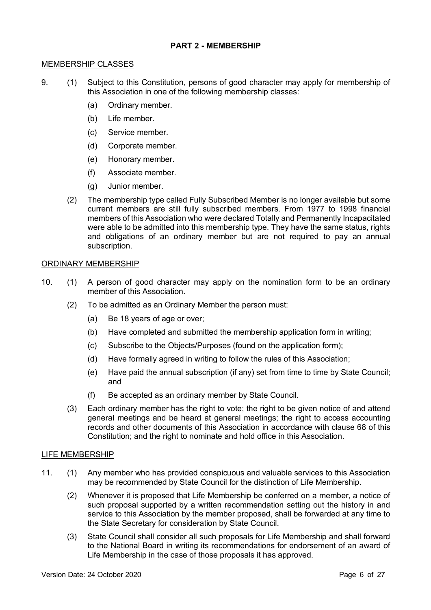## **PART 2 - MEMBERSHIP**

#### MEMBERSHIP CLASSES

- 9. (1) Subject to this Constitution, persons of good character may apply for membership of this Association in one of the following membership classes:
	- (a) Ordinary member.
	- (b) Life member.
	- (c) Service member.
	- (d) Corporate member.
	- (e) Honorary member.
	- (f) Associate member.
	- (g) Junior member.
	- (2) The membership type called Fully Subscribed Member is no longer available but some current members are still fully subscribed members. From 1977 to 1998 financial members of this Association who were declared Totally and Permanently Incapacitated were able to be admitted into this membership type. They have the same status, rights and obligations of an ordinary member but are not required to pay an annual subscription.

## ORDINARY MEMBERSHIP

- 10. (1) A person of good character may apply on the nomination form to be an ordinary member of this Association.
	- (2) To be admitted as an Ordinary Member the person must:
		- (a) Be 18 years of age or over;
		- (b) Have completed and submitted the membership application form in writing;
		- (c) Subscribe to the Objects/Purposes (found on the application form);
		- (d) Have formally agreed in writing to follow the rules of this Association;
		- (e) Have paid the annual subscription (if any) set from time to time by State Council; and
		- (f) Be accepted as an ordinary member by State Council.
	- (3) Each ordinary member has the right to vote; the right to be given notice of and attend general meetings and be heard at general meetings; the right to access accounting records and other documents of this Association in accordance with clause 68 of this Constitution; and the right to nominate and hold office in this Association.

## LIFE MEMBERSHIP

- 11. (1) Any member who has provided conspicuous and valuable services to this Association may be recommended by State Council for the distinction of Life Membership.
	- (2) Whenever it is proposed that Life Membership be conferred on a member, a notice of such proposal supported by a written recommendation setting out the history in and service to this Association by the member proposed, shall be forwarded at any time to the State Secretary for consideration by State Council.
	- (3) State Council shall consider all such proposals for Life Membership and shall forward to the National Board in writing its recommendations for endorsement of an award of Life Membership in the case of those proposals it has approved.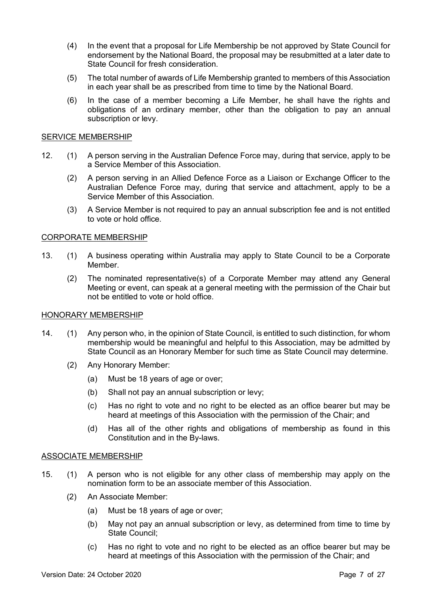- (4) In the event that a proposal for Life Membership be not approved by State Council for endorsement by the National Board, the proposal may be resubmitted at a later date to State Council for fresh consideration.
- (5) The total number of awards of Life Membership granted to members of this Association in each year shall be as prescribed from time to time by the National Board.
- (6) In the case of a member becoming a Life Member, he shall have the rights and obligations of an ordinary member, other than the obligation to pay an annual subscription or levy.

#### SERVICE MEMBERSHIP

- 12. (1) A person serving in the Australian Defence Force may, during that service, apply to be a Service Member of this Association.
	- (2) A person serving in an Allied Defence Force as a Liaison or Exchange Officer to the Australian Defence Force may, during that service and attachment, apply to be a Service Member of this Association.
	- (3) A Service Member is not required to pay an annual subscription fee and is not entitled to vote or hold office.

## CORPORATE MEMBERSHIP

- 13. (1) A business operating within Australia may apply to State Council to be a Corporate Member.
	- (2) The nominated representative(s) of a Corporate Member may attend any General Meeting or event, can speak at a general meeting with the permission of the Chair but not be entitled to vote or hold office.

#### HONORARY MEMBERSHIP

- 14. (1) Any person who, in the opinion of State Council, is entitled to such distinction, for whom membership would be meaningful and helpful to this Association, may be admitted by State Council as an Honorary Member for such time as State Council may determine.
	- (2) Any Honorary Member:
		- (a) Must be 18 years of age or over;
		- (b) Shall not pay an annual subscription or levy;
		- (c) Has no right to vote and no right to be elected as an office bearer but may be heard at meetings of this Association with the permission of the Chair; and
		- (d) Has all of the other rights and obligations of membership as found in this Constitution and in the By-laws.

#### ASSOCIATE MEMBERSHIP

- 15. (1) A person who is not eligible for any other class of membership may apply on the nomination form to be an associate member of this Association.
	- (2) An Associate Member:
		- (a) Must be 18 years of age or over;
		- (b) May not pay an annual subscription or levy, as determined from time to time by State Council;
		- (c) Has no right to vote and no right to be elected as an office bearer but may be heard at meetings of this Association with the permission of the Chair; and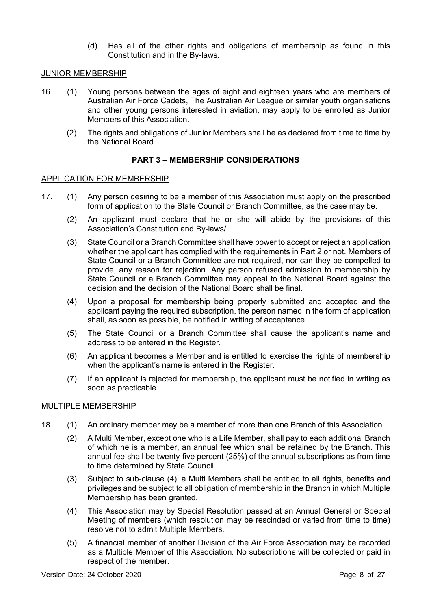(d) Has all of the other rights and obligations of membership as found in this Constitution and in the By-laws.

## JUNIOR MEMBERSHIP

- 16. (1) Young persons between the ages of eight and eighteen years who are members of Australian Air Force Cadets, The Australian Air League or similar youth organisations and other young persons interested in aviation, may apply to be enrolled as Junior Members of this Association.
	- (2) The rights and obligations of Junior Members shall be as declared from time to time by the National Board.

## **PART 3 – MEMBERSHIP CONSIDERATIONS**

## APPLICATION FOR MEMBERSHIP

- 17. (1) Any person desiring to be a member of this Association must apply on the prescribed form of application to the State Council or Branch Committee, as the case may be.
	- (2) An applicant must declare that he or she will abide by the provisions of this Association's Constitution and By-laws/
	- (3) State Council or a Branch Committee shall have power to accept or reject an application whether the applicant has complied with the requirements in Part 2 or not. Members of State Council or a Branch Committee are not required, nor can they be compelled to provide, any reason for rejection. Any person refused admission to membership by State Council or a Branch Committee may appeal to the National Board against the decision and the decision of the National Board shall be final.
	- (4) Upon a proposal for membership being properly submitted and accepted and the applicant paying the required subscription, the person named in the form of application shall, as soon as possible, be notified in writing of acceptance.
	- (5) The State Council or a Branch Committee shall cause the applicant's name and address to be entered in the Register.
	- (6) An applicant becomes a Member and is entitled to exercise the rights of membership when the applicant's name is entered in the Register.
	- (7) If an applicant is rejected for membership, the applicant must be notified in writing as soon as practicable.

## MULTIPLE MEMBERSHIP

- 18. (1) An ordinary member may be a member of more than one Branch of this Association.
	- (2) A Multi Member, except one who is a Life Member, shall pay to each additional Branch of which he is a member, an annual fee which shall be retained by the Branch. This annual fee shall be twenty-five percent (25%) of the annual subscriptions as from time to time determined by State Council.
	- (3) Subject to sub-clause (4), a Multi Members shall be entitled to all rights, benefits and privileges and be subject to all obligation of membership in the Branch in which Multiple Membership has been granted.
	- (4) This Association may by Special Resolution passed at an Annual General or Special Meeting of members (which resolution may be rescinded or varied from time to time) resolve not to admit Multiple Members.
	- (5) A financial member of another Division of the Air Force Association may be recorded as a Multiple Member of this Association. No subscriptions will be collected or paid in respect of the member.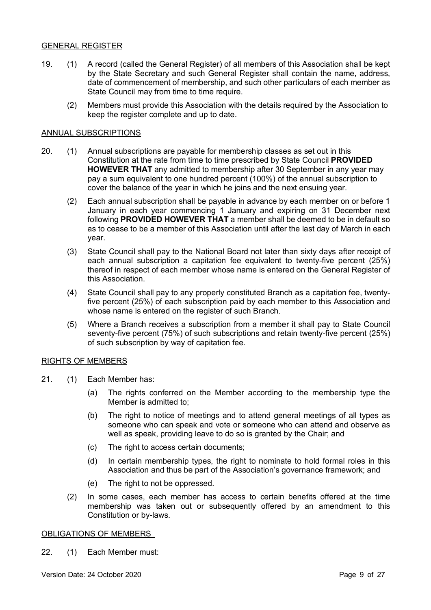## GENERAL REGISTER

- 19. (1) A record (called the General Register) of all members of this Association shall be kept by the State Secretary and such General Register shall contain the name, address, date of commencement of membership, and such other particulars of each member as State Council may from time to time require.
	- (2) Members must provide this Association with the details required by the Association to keep the register complete and up to date.

## ANNUAL SUBSCRIPTIONS

- 20. (1) Annual subscriptions are payable for membership classes as set out in this Constitution at the rate from time to time prescribed by State Council **PROVIDED HOWEVER THAT** any admitted to membership after 30 September in any year may pay a sum equivalent to one hundred percent (100%) of the annual subscription to cover the balance of the year in which he joins and the next ensuing year.
	- (2) Each annual subscription shall be payable in advance by each member on or before 1 January in each year commencing 1 January and expiring on 31 December next following **PROVIDED HOWEVER THAT** a member shall be deemed to be in default so as to cease to be a member of this Association until after the last day of March in each year.
	- (3) State Council shall pay to the National Board not later than sixty days after receipt of each annual subscription a capitation fee equivalent to twenty-five percent (25%) thereof in respect of each member whose name is entered on the General Register of this Association.
	- (4) State Council shall pay to any properly constituted Branch as a capitation fee, twentyfive percent (25%) of each subscription paid by each member to this Association and whose name is entered on the register of such Branch.
	- (5) Where a Branch receives a subscription from a member it shall pay to State Council seventy-five percent (75%) of such subscriptions and retain twenty-five percent (25%) of such subscription by way of capitation fee.

## RIGHTS OF MEMBERS

- 21. (1) Each Member has:
	- (a) The rights conferred on the Member according to the membership type the Member is admitted to;
	- (b) The right to notice of meetings and to attend general meetings of all types as someone who can speak and vote or someone who can attend and observe as well as speak, providing leave to do so is granted by the Chair; and
	- (c) The right to access certain documents;
	- (d) In certain membership types, the right to nominate to hold formal roles in this Association and thus be part of the Association's governance framework; and
	- (e) The right to not be oppressed.
	- (2) In some cases, each member has access to certain benefits offered at the time membership was taken out or subsequently offered by an amendment to this Constitution or by-laws.

## OBLIGATIONS OF MEMBERS

22. (1) Each Member must: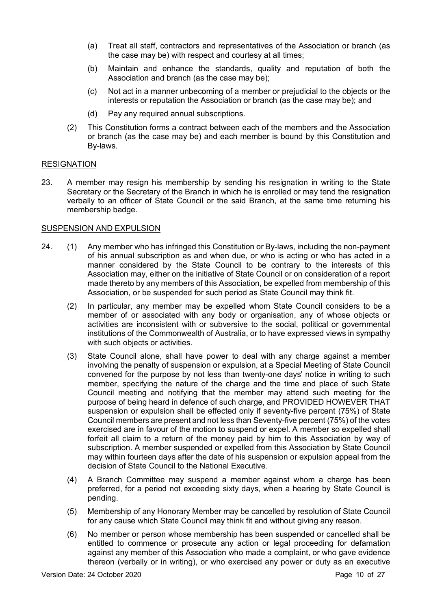- (a) Treat all staff, contractors and representatives of the Association or branch (as the case may be) with respect and courtesy at all times;
- (b) Maintain and enhance the standards, quality and reputation of both the Association and branch (as the case may be);
- (c) Not act in a manner unbecoming of a member or prejudicial to the objects or the interests or reputation the Association or branch (as the case may be); and
- (d) Pay any required annual subscriptions.
- (2) This Constitution forms a contract between each of the members and the Association or branch (as the case may be) and each member is bound by this Constitution and By-laws.

## **RESIGNATION**

23. A member may resign his membership by sending his resignation in writing to the State Secretary or the Secretary of the Branch in which he is enrolled or may tend the resignation verbally to an officer of State Council or the said Branch, at the same time returning his membership badge.

## SUSPENSION AND EXPULSION

- 24. (1) Any member who has infringed this Constitution or By-laws, including the non-payment of his annual subscription as and when due, or who is acting or who has acted in a manner considered by the State Council to be contrary to the interests of this Association may, either on the initiative of State Council or on consideration of a report made thereto by any members of this Association, be expelled from membership of this Association, or be suspended for such period as State Council may think fit.
	- (2) In particular, any member may be expelled whom State Council considers to be a member of or associated with any body or organisation, any of whose objects or activities are inconsistent with or subversive to the social, political or governmental institutions of the Commonwealth of Australia, or to have expressed views in sympathy with such objects or activities.
	- (3) State Council alone, shall have power to deal with any charge against a member involving the penalty of suspension or expulsion, at a Special Meeting of State Council convened for the purpose by not less than twenty-one days' notice in writing to such member, specifying the nature of the charge and the time and place of such State Council meeting and notifying that the member may attend such meeting for the purpose of being heard in defence of such charge, and PROVIDED HOWEVER THAT suspension or expulsion shall be effected only if seventy-five percent (75%) of State Council members are present and not less than Seventy-five percent (75%) of the votes exercised are in favour of the motion to suspend or expel. A member so expelled shall forfeit all claim to a return of the money paid by him to this Association by way of subscription. A member suspended or expelled from this Association by State Council may within fourteen days after the date of his suspension or expulsion appeal from the decision of State Council to the National Executive.
	- (4) A Branch Committee may suspend a member against whom a charge has been preferred, for a period not exceeding sixty days, when a hearing by State Council is pending.
	- (5) Membership of any Honorary Member may be cancelled by resolution of State Council for any cause which State Council may think fit and without giving any reason.
	- (6) No member or person whose membership has been suspended or cancelled shall be entitled to commence or prosecute any action or legal proceeding for defamation against any member of this Association who made a complaint, or who gave evidence thereon (verbally or in writing), or who exercised any power or duty as an executive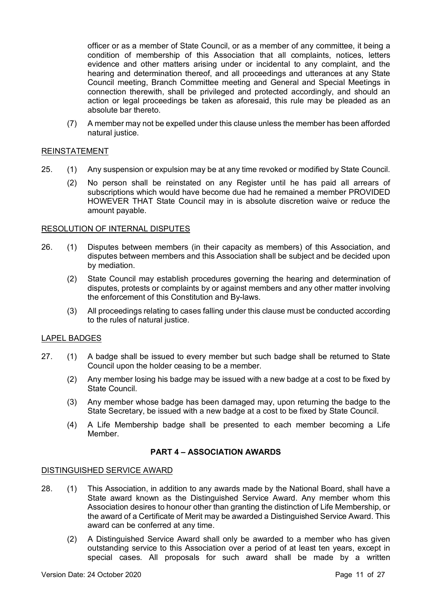officer or as a member of State Council, or as a member of any committee, it being a condition of membership of this Association that all complaints, notices, letters evidence and other matters arising under or incidental to any complaint, and the hearing and determination thereof, and all proceedings and utterances at any State Council meeting, Branch Committee meeting and General and Special Meetings in connection therewith, shall be privileged and protected accordingly, and should an action or legal proceedings be taken as aforesaid, this rule may be pleaded as an absolute bar thereto.

(7) A member may not be expelled under this clause unless the member has been afforded natural justice.

## REINSTATEMENT

- 25. (1) Any suspension or expulsion may be at any time revoked or modified by State Council.
	- (2) No person shall be reinstated on any Register until he has paid all arrears of subscriptions which would have become due had he remained a member PROVIDED HOWEVER THAT State Council may in is absolute discretion waive or reduce the amount payable.

## RESOLUTION OF INTERNAL DISPUTES

- 26. (1) Disputes between members (in their capacity as members) of this Association, and disputes between members and this Association shall be subject and be decided upon by mediation.
	- (2) State Council may establish procedures governing the hearing and determination of disputes, protests or complaints by or against members and any other matter involving the enforcement of this Constitution and By-laws.
	- (3) All proceedings relating to cases falling under this clause must be conducted according to the rules of natural justice.

## LAPEL BADGES

- 27. (1) A badge shall be issued to every member but such badge shall be returned to State Council upon the holder ceasing to be a member.
	- (2) Any member losing his badge may be issued with a new badge at a cost to be fixed by State Council.
	- (3) Any member whose badge has been damaged may, upon returning the badge to the State Secretary, be issued with a new badge at a cost to be fixed by State Council.
	- (4) A Life Membership badge shall be presented to each member becoming a Life Member.

## **PART 4 – ASSOCIATION AWARDS**

## DISTINGUISHED SERVICE AWARD

- 28. (1) This Association, in addition to any awards made by the National Board, shall have a State award known as the Distinguished Service Award. Any member whom this Association desires to honour other than granting the distinction of Life Membership, or the award of a Certificate of Merit may be awarded a Distinguished Service Award. This award can be conferred at any time.
	- (2) A Distinguished Service Award shall only be awarded to a member who has given outstanding service to this Association over a period of at least ten years, except in special cases. All proposals for such award shall be made by a written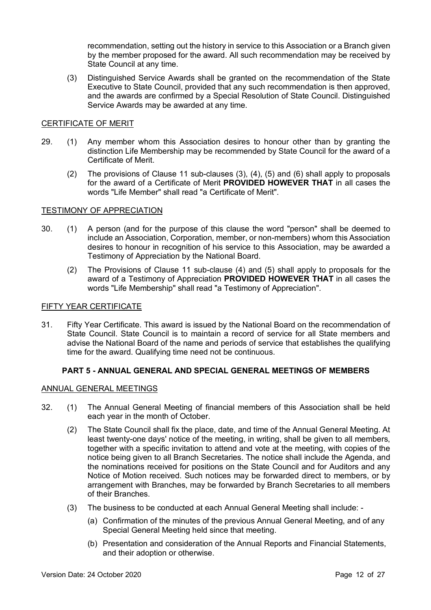recommendation, setting out the history in service to this Association or a Branch given by the member proposed for the award. All such recommendation may be received by State Council at any time.

(3) Distinguished Service Awards shall be granted on the recommendation of the State Executive to State Council, provided that any such recommendation is then approved, and the awards are confirmed by a Special Resolution of State Council. Distinguished Service Awards may be awarded at any time.

## CERTIFICATE OF MERIT

- 29. (1) Any member whom this Association desires to honour other than by granting the distinction Life Membership may be recommended by State Council for the award of a Certificate of Merit.
	- (2) The provisions of Clause 11 sub-clauses (3), (4), (5) and (6) shall apply to proposals for the award of a Certificate of Merit **PROVIDED HOWEVER THAT** in all cases the words "Life Member" shall read "a Certificate of Merit".

## TESTIMONY OF APPRECIATION

- 30. (1) A person (and for the purpose of this clause the word "person" shall be deemed to include an Association, Corporation, member, or non-members) whom this Association desires to honour in recognition of his service to this Association, may be awarded a Testimony of Appreciation by the National Board.
	- (2) The Provisions of Clause 11 sub-clause (4) and (5) shall apply to proposals for the award of a Testimony of Appreciation **PROVIDED HOWEVER THAT** in all cases the words "Life Membership" shall read "a Testimony of Appreciation".

## FIFTY YEAR CERTIFICATE

31. Fifty Year Certificate. This award is issued by the National Board on the recommendation of State Council. State Council is to maintain a record of service for all State members and advise the National Board of the name and periods of service that establishes the qualifying time for the award. Qualifying time need not be continuous.

## **PART 5 - ANNUAL GENERAL AND SPECIAL GENERAL MEETINGS OF MEMBERS**

## ANNUAL GENERAL MEETINGS

- 32. (1) The Annual General Meeting of financial members of this Association shall be held each year in the month of October.
	- (2) The State Council shall fix the place, date, and time of the Annual General Meeting. At least twenty-one days' notice of the meeting, in writing, shall be given to all members, together with a specific invitation to attend and vote at the meeting, with copies of the notice being given to all Branch Secretaries. The notice shall include the Agenda, and the nominations received for positions on the State Council and for Auditors and any Notice of Motion received. Such notices may be forwarded direct to members, or by arrangement with Branches, may be forwarded by Branch Secretaries to all members of their Branches.
	- (3) The business to be conducted at each Annual General Meeting shall include:
		- (a) Confirmation of the minutes of the previous Annual General Meeting, and of any Special General Meeting held since that meeting.
		- (b) Presentation and consideration of the Annual Reports and Financial Statements, and their adoption or otherwise.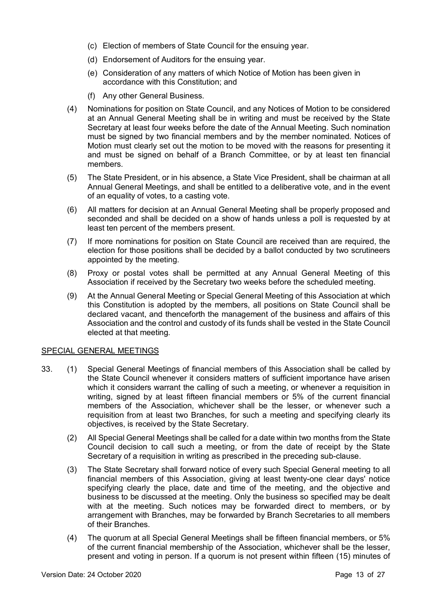- (c) Election of members of State Council for the ensuing year.
- (d) Endorsement of Auditors for the ensuing year.
- (e) Consideration of any matters of which Notice of Motion has been given in accordance with this Constitution; and
- (f) Any other General Business.
- (4) Nominations for position on State Council, and any Notices of Motion to be considered at an Annual General Meeting shall be in writing and must be received by the State Secretary at least four weeks before the date of the Annual Meeting. Such nomination must be signed by two financial members and by the member nominated. Notices of Motion must clearly set out the motion to be moved with the reasons for presenting it and must be signed on behalf of a Branch Committee, or by at least ten financial members.
- (5) The State President, or in his absence, a State Vice President, shall be chairman at all Annual General Meetings, and shall be entitled to a deliberative vote, and in the event of an equality of votes, to a casting vote.
- (6) All matters for decision at an Annual General Meeting shall be properly proposed and seconded and shall be decided on a show of hands unless a poll is requested by at least ten percent of the members present.
- (7) If more nominations for position on State Council are received than are required, the election for those positions shall be decided by a ballot conducted by two scrutineers appointed by the meeting.
- (8) Proxy or postal votes shall be permitted at any Annual General Meeting of this Association if received by the Secretary two weeks before the scheduled meeting.
- (9) At the Annual General Meeting or Special General Meeting of this Association at which this Constitution is adopted by the members, all positions on State Council shall be declared vacant, and thenceforth the management of the business and affairs of this Association and the control and custody of its funds shall be vested in the State Council elected at that meeting.

## SPECIAL GENERAL MEETINGS

- 33. (1) Special General Meetings of financial members of this Association shall be called by the State Council whenever it considers matters of sufficient importance have arisen which it considers warrant the calling of such a meeting, or whenever a requisition in writing, signed by at least fifteen financial members or 5% of the current financial members of the Association, whichever shall be the lesser, or whenever such a requisition from at least two Branches, for such a meeting and specifying clearly its objectives, is received by the State Secretary.
	- (2) All Special General Meetings shall be called for a date within two months from the State Council decision to call such a meeting, or from the date of receipt by the State Secretary of a requisition in writing as prescribed in the preceding sub-clause.
	- (3) The State Secretary shall forward notice of every such Special General meeting to all financial members of this Association, giving at least twenty-one clear days' notice specifying clearly the place, date and time of the meeting, and the objective and business to be discussed at the meeting. Only the business so specified may be dealt with at the meeting. Such notices may be forwarded direct to members, or by arrangement with Branches, may be forwarded by Branch Secretaries to all members of their Branches.
	- (4) The quorum at all Special General Meetings shall be fifteen financial members, or 5% of the current financial membership of the Association, whichever shall be the lesser, present and voting in person. If a quorum is not present within fifteen (15) minutes of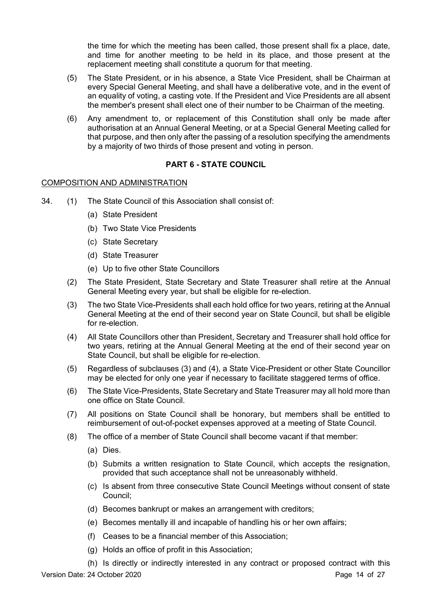the time for which the meeting has been called, those present shall fix a place, date, and time for another meeting to be held in its place, and those present at the replacement meeting shall constitute a quorum for that meeting.

- (5) The State President, or in his absence, a State Vice President, shall be Chairman at every Special General Meeting, and shall have a deliberative vote, and in the event of an equality of voting, a casting vote. If the President and Vice Presidents are all absent the member's present shall elect one of their number to be Chairman of the meeting.
- (6) Any amendment to, or replacement of this Constitution shall only be made after authorisation at an Annual General Meeting, or at a Special General Meeting called for that purpose, and then only after the passing of a resolution specifying the amendments by a majority of two thirds of those present and voting in person.

## **PART 6 - STATE COUNCIL**

## COMPOSITION AND ADMINISTRATION

- 34. (1) The State Council of this Association shall consist of:
	- (a) State President
	- (b) Two State Vice Presidents
	- (c) State Secretary
	- (d) State Treasurer
	- (e) Up to five other State Councillors
	- (2) The State President, State Secretary and State Treasurer shall retire at the Annual General Meeting every year, but shall be eligible for re-election.
	- (3) The two State Vice-Presidents shall each hold office for two years, retiring at the Annual General Meeting at the end of their second year on State Council, but shall be eligible for re-election.
	- (4) All State Councillors other than President, Secretary and Treasurer shall hold office for two years, retiring at the Annual General Meeting at the end of their second year on State Council, but shall be eligible for re-election.
	- (5) Regardless of subclauses (3) and (4), a State Vice-President or other State Councillor may be elected for only one year if necessary to facilitate staggered terms of office.
	- (6) The State Vice-Presidents, State Secretary and State Treasurer may all hold more than one office on State Council.
	- (7) All positions on State Council shall be honorary, but members shall be entitled to reimbursement of out-of-pocket expenses approved at a meeting of State Council.
	- (8) The office of a member of State Council shall become vacant if that member:
		- (a) Dies.
		- (b) Submits a written resignation to State Council, which accepts the resignation, provided that such acceptance shall not be unreasonably withheld.
		- (c) Is absent from three consecutive State Council Meetings without consent of state Council;
		- (d) Becomes bankrupt or makes an arrangement with creditors;
		- (e) Becomes mentally ill and incapable of handling his or her own affairs;
		- (f) Ceases to be a financial member of this Association;
		- (g) Holds an office of profit in this Association;

Version Date: 24 October 2020 **Page 14 of 27** (h) Is directly or indirectly interested in any contract or proposed contract with this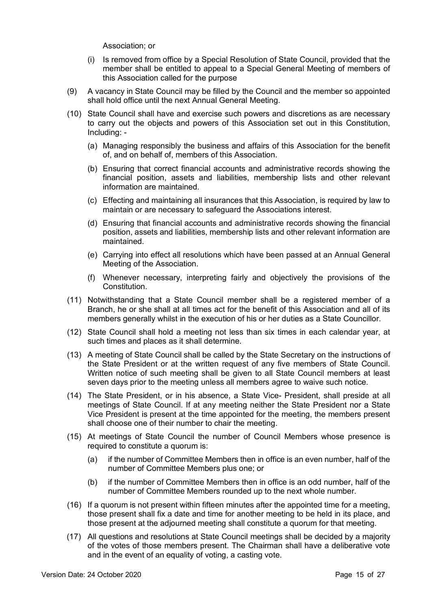Association; or

- (i) Is removed from office by a Special Resolution of State Council, provided that the member shall be entitled to appeal to a Special General Meeting of members of this Association called for the purpose
- (9) A vacancy in State Council may be filled by the Council and the member so appointed shall hold office until the next Annual General Meeting.
- (10) State Council shall have and exercise such powers and discretions as are necessary to carry out the objects and powers of this Association set out in this Constitution, Including: -
	- (a) Managing responsibly the business and affairs of this Association for the benefit of, and on behalf of, members of this Association.
	- (b) Ensuring that correct financial accounts and administrative records showing the financial position, assets and liabilities, membership lists and other relevant information are maintained.
	- (c) Effecting and maintaining all insurances that this Association, is required by law to maintain or are necessary to safeguard the Associations interest.
	- (d) Ensuring that financial accounts and administrative records showing the financial position, assets and liabilities, membership lists and other relevant information are maintained.
	- (e) Carrying into effect all resolutions which have been passed at an Annual General Meeting of the Association.
	- (f) Whenever necessary, interpreting fairly and objectively the provisions of the Constitution.
- (11) Notwithstanding that a State Council member shall be a registered member of a Branch, he or she shall at all times act for the benefit of this Association and all of its members generally whilst in the execution of his or her duties as a State Councillor.
- (12) State Council shall hold a meeting not less than six times in each calendar year, at such times and places as it shall determine.
- (13) A meeting of State Council shall be called by the State Secretary on the instructions of the State President or at the written request of any five members of State Council. Written notice of such meeting shall be given to all State Council members at least seven days prior to the meeting unless all members agree to waive such notice.
- (14) The State President, or in his absence, a State Vice- President, shall preside at all meetings of State Council. If at any meeting neither the State President nor a State Vice President is present at the time appointed for the meeting, the members present shall choose one of their number to chair the meeting.
- (15) At meetings of State Council the number of Council Members whose presence is required to constitute a quorum is:
	- (a) if the number of Committee Members then in office is an even number, half of the number of Committee Members plus one; or
	- (b) if the number of Committee Members then in office is an odd number, half of the number of Committee Members rounded up to the next whole number.
- (16) If a quorum is not present within fifteen minutes after the appointed time for a meeting, those present shall fix a date and time for another meeting to be held in its place, and those present at the adjourned meeting shall constitute a quorum for that meeting.
- (17) All questions and resolutions at State Council meetings shall be decided by a majority of the votes of those members present. The Chairman shall have a deliberative vote and in the event of an equality of voting, a casting vote.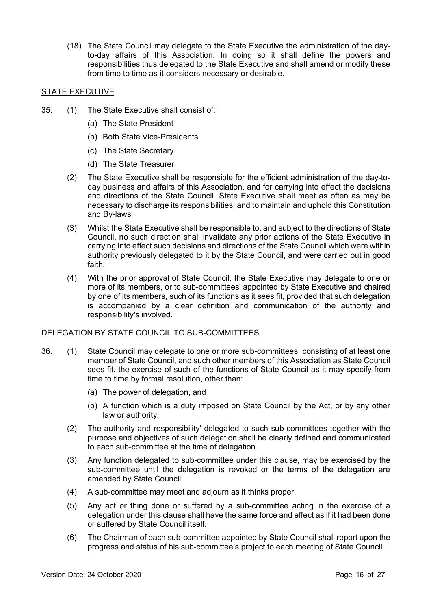(18) The State Council may delegate to the State Executive the administration of the dayto-day affairs of this Association. In doing so it shall define the powers and responsibilities thus delegated to the State Executive and shall amend or modify these from time to time as it considers necessary or desirable.

## STATE EXECUTIVE

- 35. (1) The State Executive shall consist of:
	- (a) The State President
	- (b) Both State Vice-Presidents
	- (c) The State Secretary
	- (d) The State Treasurer
	- (2) The State Executive shall be responsible for the efficient administration of the day-today business and affairs of this Association, and for carrying into effect the decisions and directions of the State Council. State Executive shall meet as often as may be necessary to discharge its responsibilities, and to maintain and uphold this Constitution and By-laws.
	- (3) Whilst the State Executive shall be responsible to, and subject to the directions of State Council, no such direction shall invalidate any prior actions of the State Executive in carrying into effect such decisions and directions of the State Council which were within authority previously delegated to it by the State Council, and were carried out in good faith.
	- (4) With the prior approval of State Council, the State Executive may delegate to one or more of its members, or to sub-committees' appointed by State Executive and chaired by one of its members, such of its functions as it sees fit, provided that such delegation is accompanied by a clear definition and communication of the authority and responsibility's involved.

## DELEGATION BY STATE COUNCIL TO SUB-COMMITTEES

- 36. (1) State Council may delegate to one or more sub-committees, consisting of at least one member of State Council, and such other members of this Association as State Council sees fit, the exercise of such of the functions of State Council as it may specify from time to time by formal resolution, other than:
	- (a) The power of delegation, and
	- (b) A function which is a duty imposed on State Council by the Act, or by any other law or authority.
	- (2) The authority and responsibility' delegated to such sub-committees together with the purpose and objectives of such delegation shall be clearly defined and communicated to each sub-committee at the time of delegation.
	- (3) Any function delegated to sub-committee under this clause, may be exercised by the sub-committee until the delegation is revoked or the terms of the delegation are amended by State Council.
	- (4) A sub-committee may meet and adjourn as it thinks proper.
	- (5) Any act or thing done or suffered by a sub-committee acting in the exercise of a delegation under this clause shall have the same force and effect as if it had been done or suffered by State Council itself.
	- (6) The Chairman of each sub-committee appointed by State Council shall report upon the progress and status of his sub-committee's project to each meeting of State Council.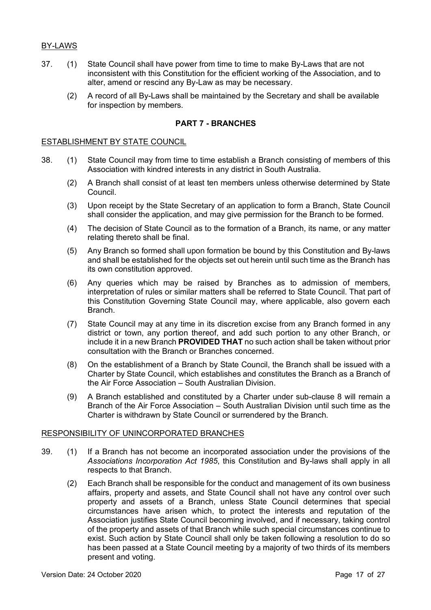## BY-LAWS

- 37. (1) State Council shall have power from time to time to make By-Laws that are not inconsistent with this Constitution for the efficient working of the Association, and to alter, amend or rescind any By-Law as may be necessary.
	- (2) A record of all By-Laws shall be maintained by the Secretary and shall be available for inspection by members.

## **PART 7 - BRANCHES**

#### ESTABLISHMENT BY STATE COUNCIL

- 38. (1) State Council may from time to time establish a Branch consisting of members of this Association with kindred interests in any district in South Australia.
	- (2) A Branch shall consist of at least ten members unless otherwise determined by State Council.
	- (3) Upon receipt by the State Secretary of an application to form a Branch, State Council shall consider the application, and may give permission for the Branch to be formed.
	- (4) The decision of State Council as to the formation of a Branch, its name, or any matter relating thereto shall be final.
	- (5) Any Branch so formed shall upon formation be bound by this Constitution and By-laws and shall be established for the objects set out herein until such time as the Branch has its own constitution approved.
	- (6) Any queries which may be raised by Branches as to admission of members, interpretation of rules or similar matters shall be referred to State Council. That part of this Constitution Governing State Council may, where applicable, also govern each Branch.
	- (7) State Council may at any time in its discretion excise from any Branch formed in any district or town, any portion thereof, and add such portion to any other Branch, or include it in a new Branch **PROVIDED THAT** no such action shall be taken without prior consultation with the Branch or Branches concerned.
	- (8) On the establishment of a Branch by State Council, the Branch shall be issued with a Charter by State Council, which establishes and constitutes the Branch as a Branch of the Air Force Association – South Australian Division.
	- (9) A Branch established and constituted by a Charter under sub-clause 8 will remain a Branch of the Air Force Association – South Australian Division until such time as the Charter is withdrawn by State Council or surrendered by the Branch.

#### RESPONSIBILITY OF UNINCORPORATED BRANCHES

- 39. (1) If a Branch has not become an incorporated association under the provisions of the *Associations Incorporation Act 1985*, this Constitution and By-laws shall apply in all respects to that Branch.
	- (2) Each Branch shall be responsible for the conduct and management of its own business affairs, property and assets, and State Council shall not have any control over such property and assets of a Branch, unless State Council determines that special circumstances have arisen which, to protect the interests and reputation of the Association justifies State Council becoming involved, and if necessary, taking control of the property and assets of that Branch while such special circumstances continue to exist. Such action by State Council shall only be taken following a resolution to do so has been passed at a State Council meeting by a majority of two thirds of its members present and voting.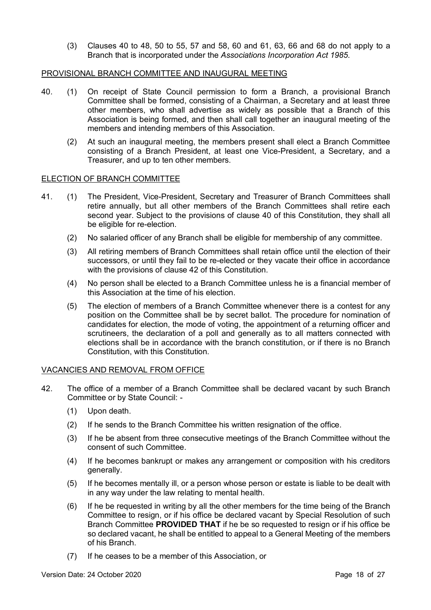(3) Clauses 40 to 48, 50 to 55, 57 and 58, 60 and 61, 63, 66 and 68 do not apply to a Branch that is incorporated under the *Associations Incorporation Act 1985*.

## PROVISIONAL BRANCH COMMITTEE AND INAUGURAL MEETING

- 40. (1) On receipt of State Council permission to form a Branch, a provisional Branch Committee shall be formed, consisting of a Chairman, a Secretary and at least three other members, who shall advertise as widely as possible that a Branch of this Association is being formed, and then shall call together an inaugural meeting of the members and intending members of this Association.
	- (2) At such an inaugural meeting, the members present shall elect a Branch Committee consisting of a Branch President, at least one Vice-President, a Secretary, and a Treasurer, and up to ten other members.

## ELECTION OF BRANCH COMMITTEE

- 41. (1) The President, Vice-President, Secretary and Treasurer of Branch Committees shall retire annually, but all other members of the Branch Committees shall retire each second year. Subject to the provisions of clause 40 of this Constitution, they shall all be eligible for re-election.
	- (2) No salaried officer of any Branch shall be eligible for membership of any committee.
	- (3) All retiring members of Branch Committees shall retain office until the election of their successors, or until they fail to be re-elected or they vacate their office in accordance with the provisions of clause 42 of this Constitution.
	- (4) No person shall be elected to a Branch Committee unless he is a financial member of this Association at the time of his election.
	- (5) The election of members of a Branch Committee whenever there is a contest for any position on the Committee shall be by secret ballot. The procedure for nomination of candidates for election, the mode of voting, the appointment of a returning officer and scrutineers, the declaration of a poll and generally as to all matters connected with elections shall be in accordance with the branch constitution, or if there is no Branch Constitution, with this Constitution.

## VACANCIES AND REMOVAL FROM OFFICE

- 42. The office of a member of a Branch Committee shall be declared vacant by such Branch Committee or by State Council: -
	- (1) Upon death.
	- (2) If he sends to the Branch Committee his written resignation of the office.
	- (3) If he be absent from three consecutive meetings of the Branch Committee without the consent of such Committee.
	- (4) If he becomes bankrupt or makes any arrangement or composition with his creditors generally.
	- (5) If he becomes mentally ill, or a person whose person or estate is liable to be dealt with in any way under the law relating to mental health.
	- (6) If he be requested in writing by all the other members for the time being of the Branch Committee to resign, or if his office be declared vacant by Special Resolution of such Branch Committee **PROVIDED THAT** if he be so requested to resign or if his office be so declared vacant, he shall be entitled to appeal to a General Meeting of the members of his Branch.
	- (7) If he ceases to be a member of this Association, or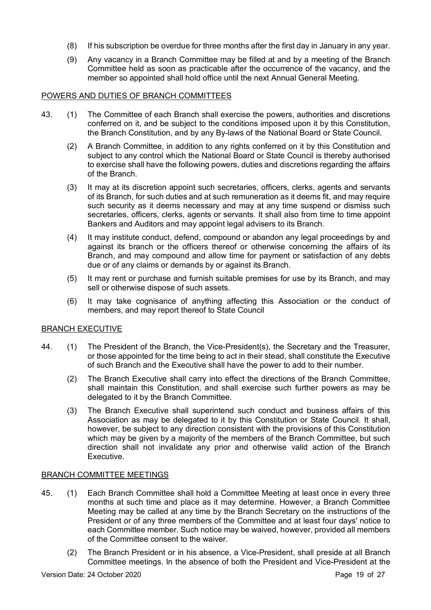- (8) If his subscription be overdue for three months after the first day in January in any year.
- (9) Any vacancy in a Branch Committee may be filled at and by a meeting of the Branch Committee held as soon as practicable after the occurrence of the vacancy, and the member so appointed shall hold office until the next Annual General Meeting.

## POWERS AND DUTIES OF BRANCH COMMITTEES

- 43. (1) The Committee of each Branch shall exercise the powers, authorities and discretions conferred on it, and be subject to the conditions imposed upon it by this Constitution, the Branch Constitution, and by any By-laws of the National Board or State Council.
	- (2) A Branch Committee, in addition to any rights conferred on it by this Constitution and subject to any control which the National Board or State Council is thereby authorised to exercise shall have the following powers, duties and discretions regarding the affairs of the Branch.
	- (3) It may at its discretion appoint such secretaries, officers, clerks, agents and servants of its Branch, for such duties and at such remuneration as it deems fit, and may require such security as it deems necessary and may at any time suspend or dismiss such secretaries, officers, clerks, agents or servants. It shall also from time to time appoint Bankers and Auditors and may appoint legal advisers to its Branch.
	- (4) It may institute conduct, defend, compound or abandon any legal proceedings by and against its branch or the officers thereof or otherwise concerning the affairs of its Branch, and may compound and allow time for payment or satisfaction of any debts due or of any claims or demands by or against its Branch.
	- (5) It may rent or purchase and furnish suitable premises for use by its Branch, and may sell or otherwise dispose of such assets.
	- (6) It may take cognisance of anything affecting this Association or the conduct of members, and may report thereof to State Council

## BRANCH EXECUTIVE

- 44. (1) The President of the Branch, the Vice-President(s), the Secretary and the Treasurer, or those appointed for the time being to act in their stead, shall constitute the Executive of such Branch and the Executive shall have the power to add to their number.
	- (2) The Branch Executive shall carry into effect the directions of the Branch Committee, shall maintain this Constitution, and shall exercise such further powers as may be delegated to it by the Branch Committee.
	- (3) The Branch Executive shall superintend such conduct and business affairs of this Association as may be delegated to it by this Constitution or State Council. It shall, however, be subject to any direction consistent with the provisions of this Constitution which may be given by a majority of the members of the Branch Committee, but such direction shall not invalidate any prior and otherwise valid action of the Branch Executive.

## BRANCH COMMITTEE MEETINGS

- 45. (1) Each Branch Committee shall hold a Committee Meeting at least once in every three months at such time and place as it may determine. However, a Branch Committee Meeting may be called at any time by the Branch Secretary on the instructions of the President or of any three members of the Committee and at least four days' notice to each Committee member. Such notice may be waived, however, provided all members of the Committee consent to the waiver.
	- (2) The Branch President or in his absence, a Vice-President, shall preside at all Branch Committee meetings. In the absence of both the President and Vice-President at the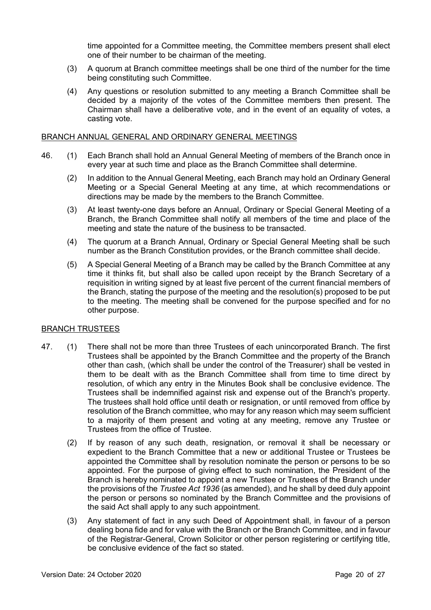time appointed for a Committee meeting, the Committee members present shall elect one of their number to be chairman of the meeting.

- (3) A quorum at Branch committee meetings shall be one third of the number for the time being constituting such Committee.
- (4) Any questions or resolution submitted to any meeting a Branch Committee shall be decided by a majority of the votes of the Committee members then present. The Chairman shall have a deliberative vote, and in the event of an equality of votes, a casting vote.

#### BRANCH ANNUAL GENERAL AND ORDINARY GENERAL MEETINGS

- 46. (1) Each Branch shall hold an Annual General Meeting of members of the Branch once in every year at such time and place as the Branch Committee shall determine.
	- (2) In addition to the Annual General Meeting, each Branch may hold an Ordinary General Meeting or a Special General Meeting at any time, at which recommendations or directions may be made by the members to the Branch Committee.
	- (3) At least twenty-one days before an Annual, Ordinary or Special General Meeting of a Branch, the Branch Committee shall notify all members of the time and place of the meeting and state the nature of the business to be transacted.
	- (4) The quorum at a Branch Annual, Ordinary or Special General Meeting shall be such number as the Branch Constitution provides, or the Branch committee shall decide.
	- (5) A Special General Meeting of a Branch may be called by the Branch Committee at any time it thinks fit, but shall also be called upon receipt by the Branch Secretary of a requisition in writing signed by at least five percent of the current financial members of the Branch, stating the purpose of the meeting and the resolution(s) proposed to be put to the meeting. The meeting shall be convened for the purpose specified and for no other purpose.

## BRANCH TRUSTEES

- 47. (1) There shall not be more than three Trustees of each unincorporated Branch. The first Trustees shall be appointed by the Branch Committee and the property of the Branch other than cash, (which shall be under the control of the Treasurer) shall be vested in them to be dealt with as the Branch Committee shall from time to time direct by resolution, of which any entry in the Minutes Book shall be conclusive evidence. The Trustees shall be indemnified against risk and expense out of the Branch's property. The trustees shall hold office until death or resignation, or until removed from office by resolution of the Branch committee, who may for any reason which may seem sufficient to a majority of them present and voting at any meeting, remove any Trustee or Trustees from the office of Trustee.
	- (2) If by reason of any such death, resignation, or removal it shall be necessary or expedient to the Branch Committee that a new or additional Trustee or Trustees be appointed the Committee shall by resolution nominate the person or persons to be so appointed. For the purpose of giving effect to such nomination, the President of the Branch is hereby nominated to appoint a new Trustee or Trustees of the Branch under the provisions of the *Trustee Act 1936* (as amended), and he shall by deed duly appoint the person or persons so nominated by the Branch Committee and the provisions of the said Act shall apply to any such appointment.
	- (3) Any statement of fact in any such Deed of Appointment shall, in favour of a person dealing bona fide and for value with the Branch or the Branch Committee, and in favour of the Registrar-General, Crown Solicitor or other person registering or certifying title, be conclusive evidence of the fact so stated.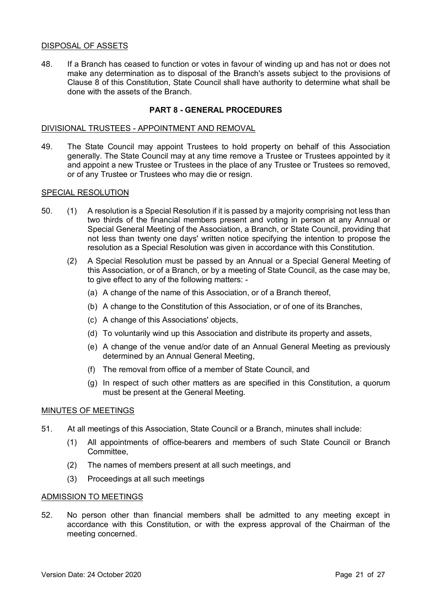## DISPOSAL OF ASSETS

48. If a Branch has ceased to function or votes in favour of winding up and has not or does not make any determination as to disposal of the Branch's assets subject to the provisions of Clause 8 of this Constitution, State Council shall have authority to determine what shall be done with the assets of the Branch.

## **PART 8 - GENERAL PROCEDURES**

#### DIVISIONAL TRUSTEES - APPOINTMENT AND REMOVAL

49. The State Council may appoint Trustees to hold property on behalf of this Association generally. The State Council may at any time remove a Trustee or Trustees appointed by it and appoint a new Trustee or Trustees in the place of any Trustee or Trustees so removed, or of any Trustee or Trustees who may die or resign.

#### SPECIAL RESOLUTION

- 50. (1) A resolution is a Special Resolution if it is passed by a majority comprising not less than two thirds of the financial members present and voting in person at any Annual or Special General Meeting of the Association, a Branch, or State Council, providing that not less than twenty one days' written notice specifying the intention to propose the resolution as a Special Resolution was given in accordance with this Constitution.
	- (2) A Special Resolution must be passed by an Annual or a Special General Meeting of this Association, or of a Branch, or by a meeting of State Council, as the case may be, to give effect to any of the following matters: -
		- (a) A change of the name of this Association, or of a Branch thereof,
		- (b) A change to the Constitution of this Association, or of one of its Branches,
		- (c) A change of this Associations' objects,
		- (d) To voluntarily wind up this Association and distribute its property and assets,
		- (e) A change of the venue and/or date of an Annual General Meeting as previously determined by an Annual General Meeting,
		- (f) The removal from office of a member of State Council, and
		- (g) In respect of such other matters as are specified in this Constitution, a quorum must be present at the General Meeting.

#### MINUTES OF MEETINGS

- 51. At all meetings of this Association, State Council or a Branch, minutes shall include:
	- (1) All appointments of office-bearers and members of such State Council or Branch Committee,
	- (2) The names of members present at all such meetings, and
	- (3) Proceedings at all such meetings

#### ADMISSION TO MEETINGS

52. No person other than financial members shall be admitted to any meeting except in accordance with this Constitution, or with the express approval of the Chairman of the meeting concerned.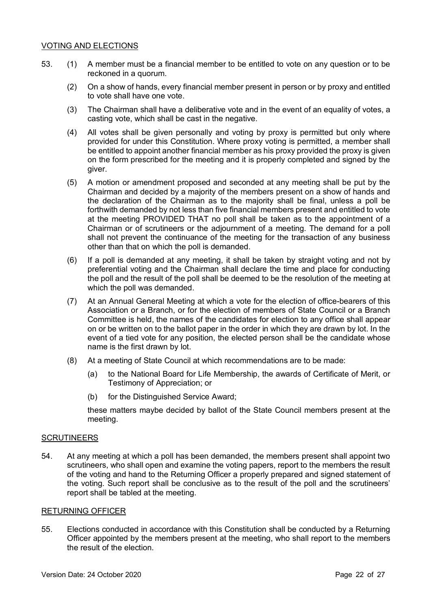## VOTING AND ELECTIONS

- 53. (1) A member must be a financial member to be entitled to vote on any question or to be reckoned in a quorum.
	- (2) On a show of hands, every financial member present in person or by proxy and entitled to vote shall have one vote.
	- (3) The Chairman shall have a deliberative vote and in the event of an equality of votes, a casting vote, which shall be cast in the negative.
	- (4) All votes shall be given personally and voting by proxy is permitted but only where provided for under this Constitution. Where proxy voting is permitted, a member shall be entitled to appoint another financial member as his proxy provided the proxy is given on the form prescribed for the meeting and it is properly completed and signed by the giver.
	- (5) A motion or amendment proposed and seconded at any meeting shall be put by the Chairman and decided by a majority of the members present on a show of hands and the declaration of the Chairman as to the majority shall be final, unless a poll be forthwith demanded by not less than five financial members present and entitled to vote at the meeting PROVIDED THAT no poll shall be taken as to the appointment of a Chairman or of scrutineers or the adjournment of a meeting. The demand for a poll shall not prevent the continuance of the meeting for the transaction of any business other than that on which the poll is demanded.
	- (6) If a poll is demanded at any meeting, it shall be taken by straight voting and not by preferential voting and the Chairman shall declare the time and place for conducting the poll and the result of the poll shall be deemed to be the resolution of the meeting at which the poll was demanded.
	- (7) At an Annual General Meeting at which a vote for the election of office-bearers of this Association or a Branch, or for the election of members of State Council or a Branch Committee is held, the names of the candidates for election to any office shall appear on or be written on to the ballot paper in the order in which they are drawn by lot. In the event of a tied vote for any position, the elected person shall be the candidate whose name is the first drawn by lot.
	- (8) At a meeting of State Council at which recommendations are to be made:
		- (a) to the National Board for Life Membership, the awards of Certificate of Merit, or Testimony of Appreciation; or
		- (b) for the Distinguished Service Award;

these matters maybe decided by ballot of the State Council members present at the meeting.

## **SCRUTINEERS**

54. At any meeting at which a poll has been demanded, the members present shall appoint two scrutineers, who shall open and examine the voting papers, report to the members the result of the voting and hand to the Returning Officer a properly prepared and signed statement of the voting. Such report shall be conclusive as to the result of the poll and the scrutineers' report shall be tabled at the meeting.

## RETURNING OFFICER

55. Elections conducted in accordance with this Constitution shall be conducted by a Returning Officer appointed by the members present at the meeting, who shall report to the members the result of the election.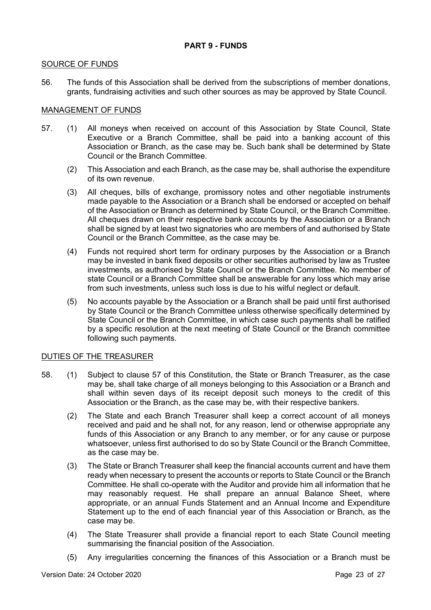## **PART 9 - FUNDS**

## SOURCE OF FUNDS

56. The funds of this Association shall be derived from the subscriptions of member donations, grants, fundraising activities and such other sources as may be approved by State Council.

## MANAGEMENT OF FUNDS

- 57. (1) All moneys when received on account of this Association by State Council, State Executive or a Branch Committee, shall be paid into a banking account of this Association or Branch, as the case may be. Such bank shall be determined by State Council or the Branch Committee.
	- (2) This Association and each Branch, as the case may be, shall authorise the expenditure of its own revenue.
	- (3) All cheques, bills of exchange, promissory notes and other negotiable instruments made payable to the Association or a Branch shall be endorsed or accepted on behalf of the Association or Branch as determined by State Council, or the Branch Committee. All cheques drawn on their respective bank accounts by the Association or a Branch shall be signed by at least two signatories who are members of and authorised by State Council or the Branch Committee, as the case may be.
	- (4) Funds not required short term for ordinary purposes by the Association or a Branch may be invested in bank fixed deposits or other securities authorised by law as Trustee investments, as authorised by State Council or the Branch Committee. No member of state Council or a Branch Committee shall be answerable for any loss which may arise from such investments, unless such loss is due to his wilful neglect or default.
	- (5) No accounts payable by the Association or a Branch shall be paid until first authorised by State Council or the Branch Committee unless otherwise specifically determined by State Council or the Branch Committee, in which case such payments shall be ratified by a specific resolution at the next meeting of State Council or the Branch committee following such payments.

## DUTIES OF THE TREASURER

- 58. (1) Subject to clause 57 of this Constitution, the State or Branch Treasurer, as the case may be, shall take charge of all moneys belonging to this Association or a Branch and shall within seven days of its receipt deposit such moneys to the credit of this Association or the Branch, as the case may be, with their respective bankers.
	- (2) The State and each Branch Treasurer shall keep a correct account of all moneys received and paid and he shall not, for any reason, lend or otherwise appropriate any funds of this Association or any Branch to any member, or for any cause or purpose whatsoever, unless first authorised to do so by State Council or the Branch Committee, as the case may be.
	- (3) The State or Branch Treasurer shall keep the financial accounts current and have them ready when necessary to present the accounts or reports to State Council or the Branch Committee. He shall co-operate with the Auditor and provide him all information that he may reasonably request. He shall prepare an annual Balance Sheet, where appropriate, or an annual Funds Statement and an Annual Income and Expenditure Statement up to the end of each financial year of this Association or Branch, as the case may be.
	- (4) The State Treasurer shall provide a financial report to each State Council meeting summarising the financial position of the Association.
	- (5) Any irregularities concerning the finances of this Association or a Branch must be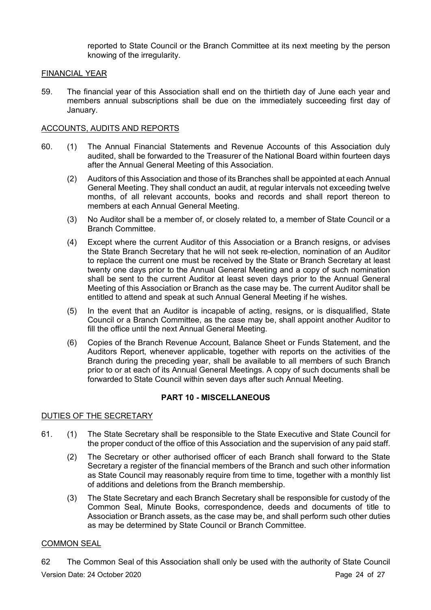reported to State Council or the Branch Committee at its next meeting by the person knowing of the irregularity.

## FINANCIAL YEAR

59. The financial year of this Association shall end on the thirtieth day of June each year and members annual subscriptions shall be due on the immediately succeeding first day of January.

## ACCOUNTS, AUDITS AND REPORTS

- 60. (1) The Annual Financial Statements and Revenue Accounts of this Association duly audited, shall be forwarded to the Treasurer of the National Board within fourteen days after the Annual General Meeting of this Association.
	- (2) Auditors of this Association and those of its Branches shall be appointed at each Annual General Meeting. They shall conduct an audit, at regular intervals not exceeding twelve months, of all relevant accounts, books and records and shall report thereon to members at each Annual General Meeting.
	- (3) No Auditor shall be a member of, or closely related to, a member of State Council or a Branch Committee.
	- (4) Except where the current Auditor of this Association or a Branch resigns, or advises the State Branch Secretary that he will not seek re-election, nomination of an Auditor to replace the current one must be received by the State or Branch Secretary at least twenty one days prior to the Annual General Meeting and a copy of such nomination shall be sent to the current Auditor at least seven days prior to the Annual General Meeting of this Association or Branch as the case may be. The current Auditor shall be entitled to attend and speak at such Annual General Meeting if he wishes.
	- (5) In the event that an Auditor is incapable of acting, resigns, or is disqualified, State Council or a Branch Committee, as the case may be, shall appoint another Auditor to fill the office until the next Annual General Meeting.
	- (6) Copies of the Branch Revenue Account, Balance Sheet or Funds Statement, and the Auditors Report, whenever applicable, together with reports on the activities of the Branch during the preceding year, shall be available to all members of such Branch prior to or at each of its Annual General Meetings. A copy of such documents shall be forwarded to State Council within seven days after such Annual Meeting.

## **PART 10 - MISCELLANEOUS**

## DUTIES OF THE SECRETARY

- 61. (1) The State Secretary shall be responsible to the State Executive and State Council for the proper conduct of the office of this Association and the supervision of any paid staff.
	- (2) The Secretary or other authorised officer of each Branch shall forward to the State Secretary a register of the financial members of the Branch and such other information as State Council may reasonably require from time to time, together with a monthly list of additions and deletions from the Branch membership.
	- (3) The State Secretary and each Branch Secretary shall be responsible for custody of the Common Seal, Minute Books, correspondence, deeds and documents of title to Association or Branch assets, as the case may be, and shall perform such other duties as may be determined by State Council or Branch Committee.

## COMMON SEAL

Version Date: 24 October 2020 **Page 24 of 27** 62 The Common Seal of this Association shall only be used with the authority of State Council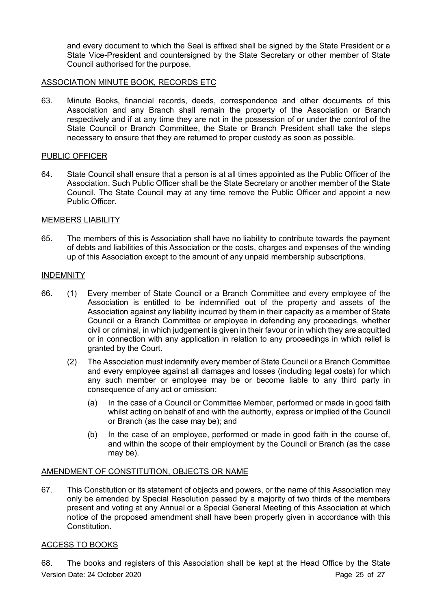and every document to which the Seal is affixed shall be signed by the State President or a State Vice-President and countersigned by the State Secretary or other member of State Council authorised for the purpose.

## ASSOCIATION MINUTE BOOK, RECORDS ETC

63. Minute Books, financial records, deeds, correspondence and other documents of this Association and any Branch shall remain the property of the Association or Branch respectively and if at any time they are not in the possession of or under the control of the State Council or Branch Committee, the State or Branch President shall take the steps necessary to ensure that they are returned to proper custody as soon as possible.

## PUBLIC OFFICER

64. State Council shall ensure that a person is at all times appointed as the Public Officer of the Association. Such Public Officer shall be the State Secretary or another member of the State Council. The State Council may at any time remove the Public Officer and appoint a new Public Officer.

## MEMBERS LIABILITY

65. The members of this is Association shall have no liability to contribute towards the payment of debts and liabilities of this Association or the costs, charges and expenses of the winding up of this Association except to the amount of any unpaid membership subscriptions.

## INDEMNITY

- 66. (1) Every member of State Council or a Branch Committee and every employee of the Association is entitled to be indemnified out of the property and assets of the Association against any liability incurred by them in their capacity as a member of State Council or a Branch Committee or employee in defending any proceedings, whether civil or criminal, in which judgement is given in their favour or in which they are acquitted or in connection with any application in relation to any proceedings in which relief is granted by the Court.
	- (2) The Association must indemnify every member of State Council or a Branch Committee and every employee against all damages and losses (including legal costs) for which any such member or employee may be or become liable to any third party in consequence of any act or omission:
		- (a) In the case of a Council or Committee Member, performed or made in good faith whilst acting on behalf of and with the authority, express or implied of the Council or Branch (as the case may be); and
		- (b) In the case of an employee, performed or made in good faith in the course of, and within the scope of their employment by the Council or Branch (as the case may be).

## AMENDMENT OF CONSTITUTION, OBJECTS OR NAME

67. This Constitution or its statement of objects and powers, or the name of this Association may only be amended by Special Resolution passed by a majority of two thirds of the members present and voting at any Annual or a Special General Meeting of this Association at which notice of the proposed amendment shall have been properly given in accordance with this Constitution.

## ACCESS TO BOOKS

Version Date: 24 October 2020 **Page 25 of 27** 68. The books and registers of this Association shall be kept at the Head Office by the State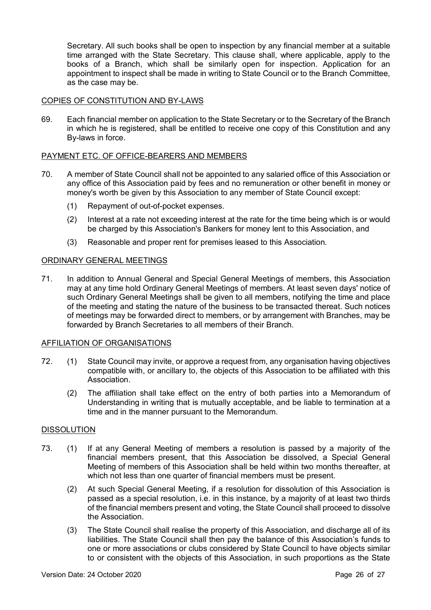Secretary. All such books shall be open to inspection by any financial member at a suitable time arranged with the State Secretary. This clause shall, where applicable, apply to the books of a Branch, which shall be similarly open for inspection. Application for an appointment to inspect shall be made in writing to State Council or to the Branch Committee, as the case may be.

## COPIES OF CONSTITUTION AND BY-LAWS

69. Each financial member on application to the State Secretary or to the Secretary of the Branch in which he is registered, shall be entitled to receive one copy of this Constitution and any By-laws in force.

## PAYMENT ETC. OF OFFICE-BEARERS AND MEMBERS

- 70. A member of State Council shall not be appointed to any salaried office of this Association or any office of this Association paid by fees and no remuneration or other benefit in money or money's worth be given by this Association to any member of State Council except:
	- (1) Repayment of out-of-pocket expenses.
	- (2) Interest at a rate not exceeding interest at the rate for the time being which is or would be charged by this Association's Bankers for money lent to this Association, and
	- (3) Reasonable and proper rent for premises leased to this Association.

## ORDINARY GENERAL MEETINGS

71. In addition to Annual General and Special General Meetings of members, this Association may at any time hold Ordinary General Meetings of members. At least seven days' notice of such Ordinary General Meetings shall be given to all members, notifying the time and place of the meeting and stating the nature of the business to be transacted thereat. Such notices of meetings may be forwarded direct to members, or by arrangement with Branches, may be forwarded by Branch Secretaries to all members of their Branch.

## AFFILIATION OF ORGANISATIONS

- 72. (1) State Council may invite, or approve a request from, any organisation having objectives compatible with, or ancillary to, the objects of this Association to be affiliated with this Association.
	- (2) The affiliation shall take effect on the entry of both parties into a Memorandum of Understanding in writing that is mutually acceptable, and be liable to termination at a time and in the manner pursuant to the Memorandum.

## DISSOLUTION

- 73. (1) If at any General Meeting of members a resolution is passed by a majority of the financial members present, that this Association be dissolved, a Special General Meeting of members of this Association shall be held within two months thereafter, at which not less than one quarter of financial members must be present.
	- (2) At such Special General Meeting, if a resolution for dissolution of this Association is passed as a special resolution, i.e. in this instance, by a majority of at least two thirds of the financial members present and voting, the State Council shall proceed to dissolve the Association.
	- (3) The State Council shall realise the property of this Association, and discharge all of its liabilities. The State Council shall then pay the balance of this Association's funds to one or more associations or clubs considered by State Council to have objects similar to or consistent with the objects of this Association, in such proportions as the State